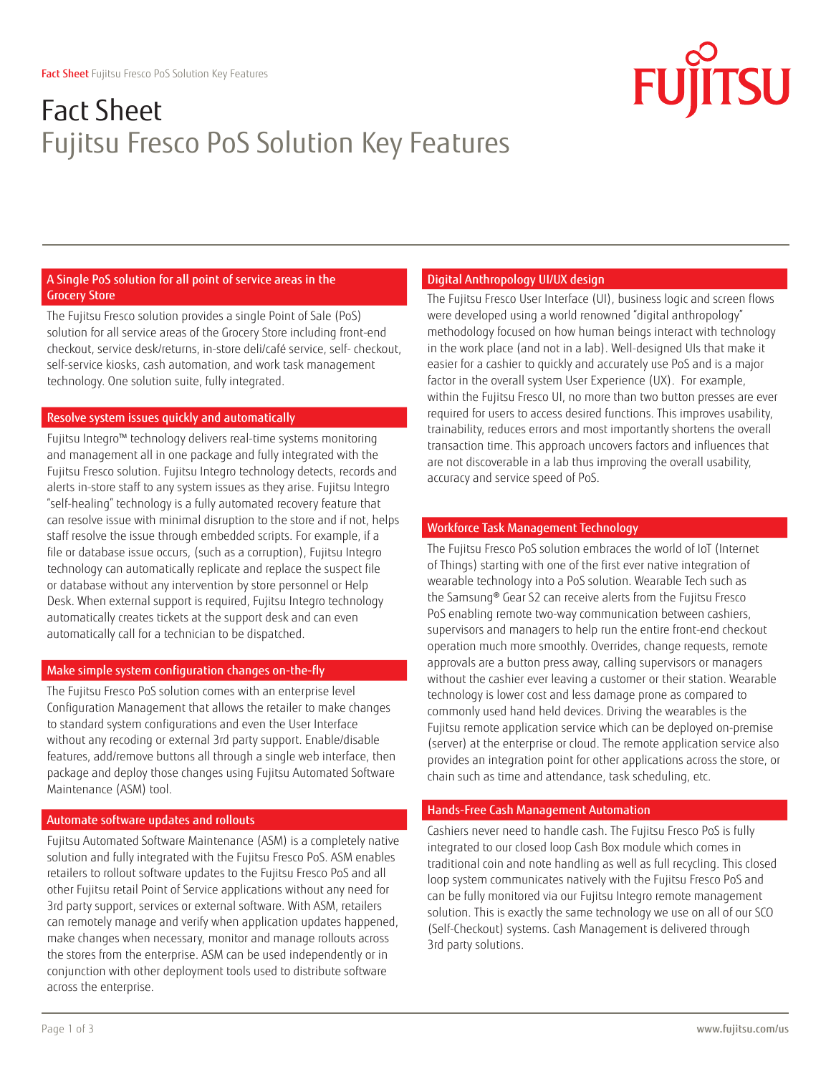# Fact Sheet Fujitsu Fresco PoS Solution Key Features

# A Single PoS solution for all point of service areas in the Grocery Store

The Fujitsu Fresco solution provides a single Point of Sale (PoS) solution for all service areas of the Grocery Store including front-end checkout, service desk/returns, in-store deli/café service, self- checkout, self-service kiosks, cash automation, and work task management technology. One solution suite, fully integrated.

# Resolve system issues quickly and automatically

Fujitsu Integro™ technology delivers real-time systems monitoring and management all in one package and fully integrated with the Fujitsu Fresco solution. Fujitsu Integro technology detects, records and alerts in-store staff to any system issues as they arise. Fujitsu Integro "self-healing" technology is a fully automated recovery feature that can resolve issue with minimal disruption to the store and if not, helps staff resolve the issue through embedded scripts. For example, if a file or database issue occurs, (such as a corruption), Fujitsu Integro technology can automatically replicate and replace the suspect file or database without any intervention by store personnel or Help Desk. When external support is required, Fujitsu Integro technology automatically creates tickets at the support desk and can even automatically call for a technician to be dispatched.

# Make simple system configuration changes on-the-fly

The Fujitsu Fresco PoS solution comes with an enterprise level Configuration Management that allows the retailer to make changes to standard system configurations and even the User Interface without any recoding or external 3rd party support. Enable/disable features, add/remove buttons all through a single web interface, then package and deploy those changes using Fujitsu Automated Software Maintenance (ASM) tool.

# Automate software updates and rollouts

Fujitsu Automated Software Maintenance (ASM) is a completely native solution and fully integrated with the Fujitsu Fresco PoS. ASM enables retailers to rollout software updates to the Fujitsu Fresco PoS and all other Fujitsu retail Point of Service applications without any need for 3rd party support, services or external software. With ASM, retailers can remotely manage and verify when application updates happened, make changes when necessary, monitor and manage rollouts across the stores from the enterprise. ASM can be used independently or in conjunction with other deployment tools used to distribute software across the enterprise.

# Digital Anthropology UI/UX design

The Fujitsu Fresco User Interface (UI), business logic and screen flows were developed using a world renowned "digital anthropology" methodology focused on how human beings interact with technology in the work place (and not in a lab). Well-designed UIs that make it easier for a cashier to quickly and accurately use PoS and is a major factor in the overall system User Experience (UX). For example, within the Fujitsu Fresco UI, no more than two button presses are ever required for users to access desired functions. This improves usability, trainability, reduces errors and most importantly shortens the overall transaction time. This approach uncovers factors and influences that are not discoverable in a lab thus improving the overall usability, accuracy and service speed of PoS.

# Workforce Task Management Technology

The Fujitsu Fresco PoS solution embraces the world of IoT (Internet of Things) starting with one of the first ever native integration of wearable technology into a PoS solution. Wearable Tech such as the Samsung® Gear S2 can receive alerts from the Fujitsu Fresco PoS enabling remote two-way communication between cashiers, supervisors and managers to help run the entire front-end checkout operation much more smoothly. Overrides, change requests, remote approvals are a button press away, calling supervisors or managers without the cashier ever leaving a customer or their station. Wearable technology is lower cost and less damage prone as compared to commonly used hand held devices. Driving the wearables is the Fujitsu remote application service which can be deployed on-premise (server) at the enterprise or cloud. The remote application service also provides an integration point for other applications across the store, or chain such as time and attendance, task scheduling, etc.

#### Hands-Free Cash Management Automation

Cashiers never need to handle cash. The Fujitsu Fresco PoS is fully integrated to our closed loop Cash Box module which comes in traditional coin and note handling as well as full recycling. This closed loop system communicates natively with the Fujitsu Fresco PoS and can be fully monitored via our Fujitsu Integro remote management solution. This is exactly the same technology we use on all of our SCO (Self-Checkout) systems. Cash Management is delivered through 3rd party solutions.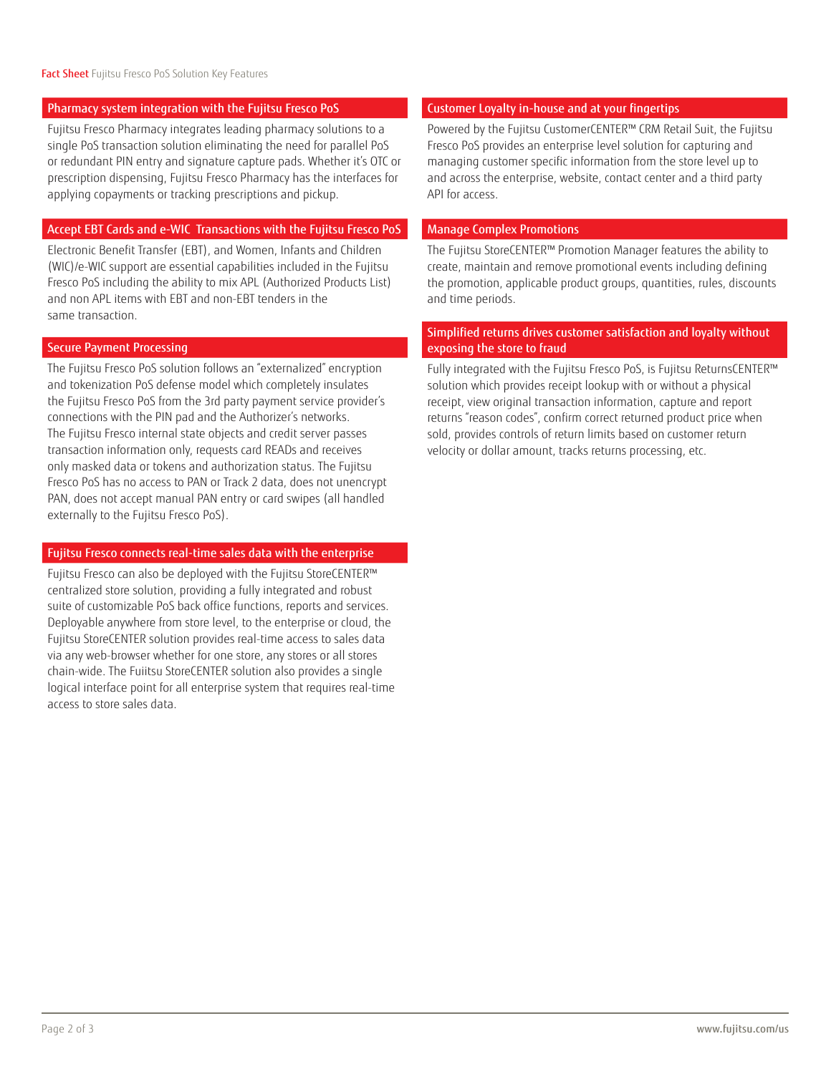#### Pharmacy system integration with the Fujitsu Fresco PoS

Fujitsu Fresco Pharmacy integrates leading pharmacy solutions to a single PoS transaction solution eliminating the need for parallel PoS or redundant PIN entry and signature capture pads. Whether it's OTC or prescription dispensing, Fujitsu Fresco Pharmacy has the interfaces for applying copayments or tracking prescriptions and pickup.

#### Accept EBT Cards and e-WIC Transactions with the Fujitsu Fresco PoS

Electronic Benefit Transfer (EBT), and Women, Infants and Children (WIC)/e-WIC support are essential capabilities included in the Fujitsu Fresco PoS including the ability to mix APL (Authorized Products List) and non APL items with EBT and non-EBT tenders in the same transaction.

#### Secure Payment Processing

The Fujitsu Fresco PoS solution follows an "externalized" encryption and tokenization PoS defense model which completely insulates the Fujitsu Fresco PoS from the 3rd party payment service provider's connections with the PIN pad and the Authorizer's networks. The Fujitsu Fresco internal state objects and credit server passes transaction information only, requests card READs and receives only masked data or tokens and authorization status. The Fujitsu Fresco PoS has no access to PAN or Track 2 data, does not unencrypt PAN, does not accept manual PAN entry or card swipes (all handled externally to the Fujitsu Fresco PoS).

### Fujitsu Fresco connects real-time sales data with the enterprise

Fujitsu Fresco can also be deployed with the Fujitsu StoreCENTER™ centralized store solution, providing a fully integrated and robust suite of customizable PoS back office functions, reports and services. Deployable anywhere from store level, to the enterprise or cloud, the Fujitsu StoreCENTER solution provides real-time access to sales data via any web-browser whether for one store, any stores or all stores chain-wide. The Fuiitsu StoreCENTER solution also provides a single logical interface point for all enterprise system that requires real-time access to store sales data.

#### Customer Loyalty in-house and at your fingertips

Powered by the Fujitsu CustomerCENTER™ CRM Retail Suit, the Fujitsu Fresco PoS provides an enterprise level solution for capturing and managing customer specific information from the store level up to and across the enterprise, website, contact center and a third party API for access.

#### Manage Complex Promotions

The Fujitsu StoreCENTER™ Promotion Manager features the ability to create, maintain and remove promotional events including defining the promotion, applicable product groups, quantities, rules, discounts and time periods.

# Simplified returns drives customer satisfaction and loyalty without exposing the store to fraud

Fully integrated with the Fujitsu Fresco PoS, is Fujitsu ReturnsCENTER™ solution which provides receipt lookup with or without a physical receipt, view original transaction information, capture and report returns "reason codes", confirm correct returned product price when sold, provides controls of return limits based on customer return velocity or dollar amount, tracks returns processing, etc.